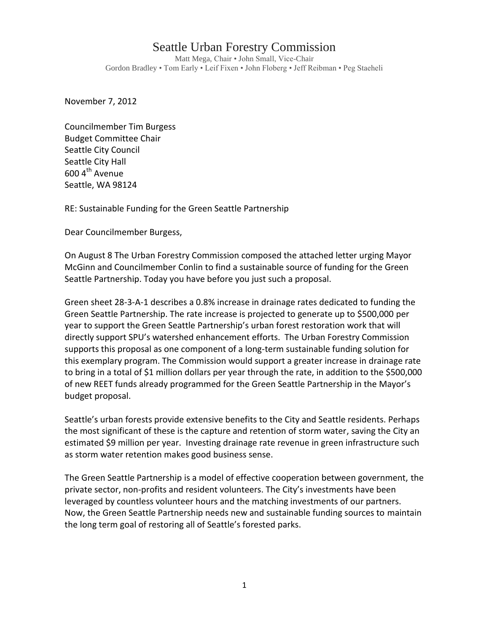## Seattle Urban Forestry Commission

Matt Mega, Chair • John Small, Vice-Chair Gordon Bradley • Tom Early • Leif Fixen • John Floberg • Jeff Reibman • Peg Staeheli

November 7, 2012

Councilmember Tim Burgess Budget Committee Chair Seattle City Council Seattle City Hall  $600$  4<sup>th</sup> Avenue Seattle, WA 98124

RE: Sustainable Funding for the Green Seattle Partnership

Dear Councilmember Burgess,

On August 8 The Urban Forestry Commission composed the attached letter urging Mayor McGinn and Councilmember Conlin to find a sustainable source of funding for the Green Seattle Partnership. Today you have before you just such a proposal.

Green sheet 28-3-A-1 describes a 0.8% increase in drainage rates dedicated to funding the Green Seattle Partnership. The rate increase is projected to generate up to \$500,000 per year to support the Green Seattle Partnership's urban forest restoration work that will directly support SPU's watershed enhancement efforts. The Urban Forestry Commission supports this proposal as one component of a long-term sustainable funding solution for this exemplary program. The Commission would support a greater increase in drainage rate to bring in a total of \$1 million dollars per year through the rate, in addition to the \$500,000 of new REET funds already programmed for the Green Seattle Partnership in the Mayor's budget proposal.

Seattle's urban forests provide extensive benefits to the City and Seattle residents. Perhaps the most significant of these is the capture and retention of storm water, saving the City an estimated \$9 million per year. Investing drainage rate revenue in green infrastructure such as storm water retention makes good business sense.

The Green Seattle Partnership is a model of effective cooperation between government, the private sector, non-profits and resident volunteers. The City's investments have been leveraged by countless volunteer hours and the matching investments of our partners. Now, the Green Seattle Partnership needs new and sustainable funding sources to maintain the long term goal of restoring all of Seattle's forested parks.